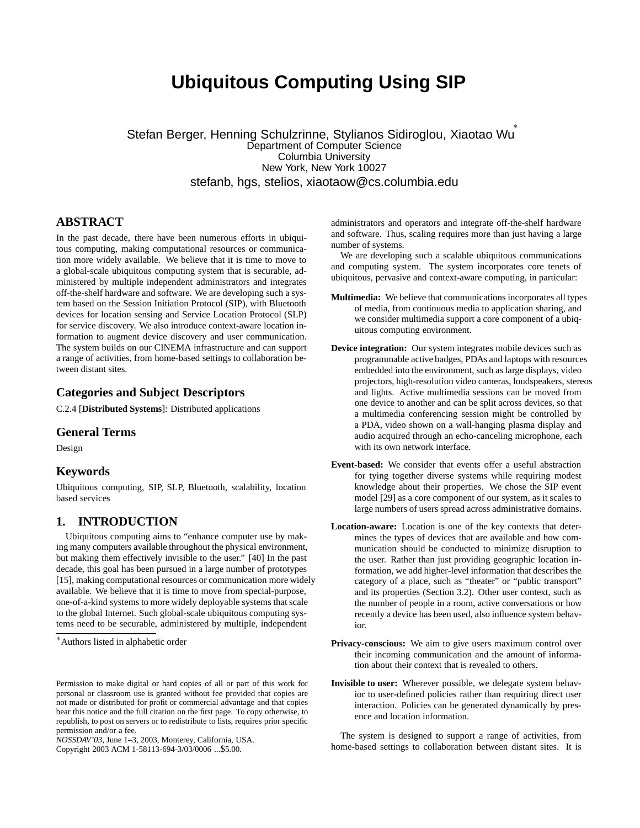# **Ubiquitous Computing Using SIP**

Stefan Berger, Henning Schulzrinne, Stylianos Sidiroglou, Xiaotao Wu Department of Computer Science Columbia University New York, New York 10027 stefanb, hgs, stelios, xiaotaow@cs.columbia.edu

# **ABSTRACT**

In the past decade, there have been numerous efforts in ubiquitous computing, making computational resources or communication more widely available. We believe that it is time to move to a global-scale ubiquitous computing system that is securable, administered by multiple independent administrators and integrates off-the-shelf hardware and software. We are developing such a system based on the Session Initiation Protocol (SIP), with Bluetooth devices for location sensing and Service Location Protocol (SLP) for service discovery. We also introduce context-aware location information to augment device discovery and user communication. The system builds on our CINEMA infrastructure and can support a range of activities, from home-based settings to collaboration between distant sites.

# **Categories and Subject Descriptors**

C.2.4 [**Distributed Systems**]: Distributed applications

#### **General Terms**

Design

# **Keywords**

Ubiquitous computing, SIP, SLP, Bluetooth, scalability, location based services

## **1. INTRODUCTION**

Ubiquitous computing aims to "enhance computer use by making many computers available throughout the physical environment, but making them effectively invisible to the user." [40] In the past decade, this goal has been pursued in a large number of prototypes [15], making computational resources or communication more widely available. We believe that it is time to move from special-purpose, one-of-a-kind systems to more widely deployable systems that scale to the global Internet. Such global-scale ubiquitous computing systems need to be securable, administered by multiple, independent

*NOSSDAV'03,* June 1–3, 2003, Monterey, California, USA.

administrators and operators and integrate off-the-shelf hardware and software. Thus, scaling requires more than just having a large number of systems.

We are developing such a scalable ubiquitous communications and computing system. The system incorporates core tenets of ubiquitous, pervasive and context-aware computing, in particular:

- **Multimedia:** We believe that communications incorporates all types of media, from continuous media to application sharing, and we consider multimedia support a core component of a ubiquitous computing environment.
- **Device integration:** Our system integrates mobile devices such as programmable active badges, PDAs and laptops with resources embedded into the environment, such as large displays, video projectors, high-resolution video cameras, loudspeakers, stereos and lights. Active multimedia sessions can be moved from one device to another and can be split across devices, so that a multimedia conferencing session might be controlled by a PDA, video shown on a wall-hanging plasma display and audio acquired through an echo-canceling microphone, each with its own network interface.
- **Event-based:** We consider that events offer a useful abstraction for tying together diverse systems while requiring modest knowledge about their properties. We chose the SIP event model [29] as a core component of our system, as it scales to large numbers of users spread across administrative domains.
- **Location-aware:** Location is one of the key contexts that determines the types of devices that are available and how communication should be conducted to minimize disruption to the user. Rather than just providing geographic location information, we add higher-level information that describes the category of a place, such as "theater" or "public transport" and its properties (Section 3.2). Other user context, such as the number of people in a room, active conversations or how recently a device has been used, also influence system behavior.
- **Privacy-conscious:** We aim to give users maximum control over their incoming communication and the amount of information about their context that is revealed to others.
- **Invisible to user:** Wherever possible, we delegate system behavior to user-defined policies rather than requiring direct user interaction. Policies can be generated dynamically by presence and location information.

The system is designed to support a range of activities, from home-based settings to collaboration between distant sites. It is

<sup>∗</sup>Authors listed in alphabetic order

Permission to make digital or hard copies of all or part of this work for personal or classroom use is granted without fee provided that copies are not made or distributed for profit or commercial advantage and that copies bear this notice and the full citation on the first page. To copy otherwise, to republish, to post on servers or to redistribute to lists, requires prior specific permission and/or a fee.

Copyright 2003 ACM 1-58113-694-3/03/0006 ...\$5.00.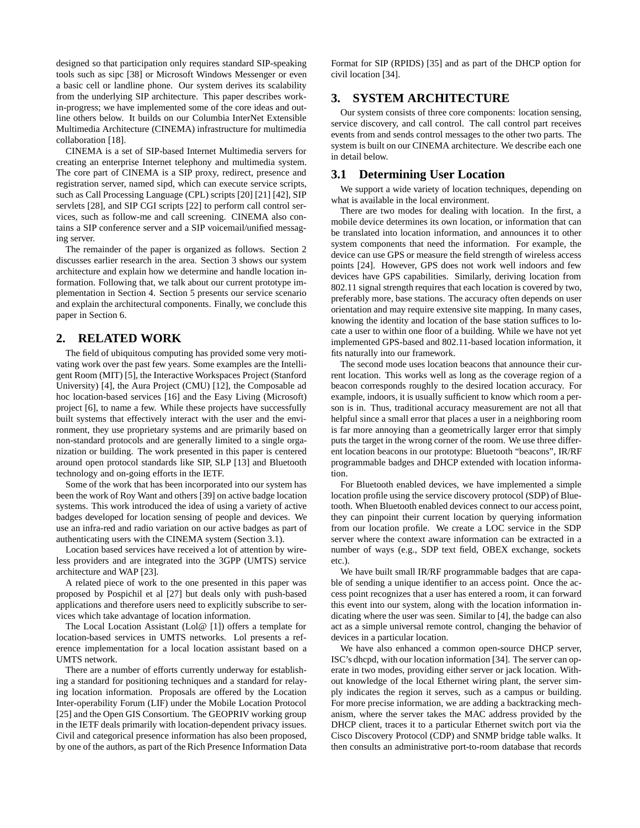designed so that participation only requires standard SIP-speaking tools such as sipc [38] or Microsoft Windows Messenger or even a basic cell or landline phone. Our system derives its scalability from the underlying SIP architecture. This paper describes workin-progress; we have implemented some of the core ideas and outline others below. It builds on our Columbia InterNet Extensible Multimedia Architecture (CINEMA) infrastructure for multimedia collaboration [18].

CINEMA is a set of SIP-based Internet Multimedia servers for creating an enterprise Internet telephony and multimedia system. The core part of CINEMA is a SIP proxy, redirect, presence and registration server, named sipd, which can execute service scripts, such as Call Processing Language (CPL) scripts [20] [21] [42], SIP servlets [28], and SIP CGI scripts [22] to perform call control services, such as follow-me and call screening. CINEMA also contains a SIP conference server and a SIP voicemail/unified messaging server.

The remainder of the paper is organized as follows. Section 2 discusses earlier research in the area. Section 3 shows our system architecture and explain how we determine and handle location information. Following that, we talk about our current prototype implementation in Section 4. Section 5 presents our service scenario and explain the architectural components. Finally, we conclude this paper in Section 6.

# **2. RELATED WORK**

The field of ubiquitous computing has provided some very motivating work over the past few years. Some examples are the Intelligent Room (MIT) [5], the Interactive Workspaces Project (Stanford University) [4], the Aura Project (CMU) [12], the Composable ad hoc location-based services [16] and the Easy Living (Microsoft) project [6], to name a few. While these projects have successfully built systems that effectively interact with the user and the environment, they use proprietary systems and are primarily based on non-standard protocols and are generally limited to a single organization or building. The work presented in this paper is centered around open protocol standards like SIP, SLP [13] and Bluetooth technology and on-going efforts in the IETF.

Some of the work that has been incorporated into our system has been the work of Roy Want and others [39] on active badge location systems. This work introduced the idea of using a variety of active badges developed for location sensing of people and devices. We use an infra-red and radio variation on our active badges as part of authenticating users with the CINEMA system (Section 3.1).

Location based services have received a lot of attention by wireless providers and are integrated into the 3GPP (UMTS) service architecture and WAP [23].

A related piece of work to the one presented in this paper was proposed by Pospichil et al [27] but deals only with push-based applications and therefore users need to explicitly subscribe to services which take advantage of location information.

The Local Location Assistant (Lol@ [1]) offers a template for location-based services in UMTS networks. Lol presents a reference implementation for a local location assistant based on a UMTS network.

There are a number of efforts currently underway for establishing a standard for positioning techniques and a standard for relaying location information. Proposals are offered by the Location Inter-operability Forum (LIF) under the Mobile Location Protocol [25] and the Open GIS Consortium. The GEOPRIV working group in the IETF deals primarily with location-dependent privacy issues. Civil and categorical presence information has also been proposed, by one of the authors, as part of the Rich Presence Information Data Format for SIP (RPIDS) [35] and as part of the DHCP option for civil location [34].

# **3. SYSTEM ARCHITECTURE**

Our system consists of three core components: location sensing, service discovery, and call control. The call control part receives events from and sends control messages to the other two parts. The system is built on our CINEMA architecture. We describe each one in detail below.

### **3.1 Determining User Location**

We support a wide variety of location techniques, depending on what is available in the local environment.

There are two modes for dealing with location. In the first, a mobile device determines its own location, or information that can be translated into location information, and announces it to other system components that need the information. For example, the device can use GPS or measure the field strength of wireless access points [24]. However, GPS does not work well indoors and few devices have GPS capabilities. Similarly, deriving location from 802.11 signal strength requires that each location is covered by two, preferably more, base stations. The accuracy often depends on user orientation and may require extensive site mapping. In many cases, knowing the identity and location of the base station suffices to locate a user to within one floor of a building. While we have not yet implemented GPS-based and 802.11-based location information, it fits naturally into our framework.

The second mode uses location beacons that announce their current location. This works well as long as the coverage region of a beacon corresponds roughly to the desired location accuracy. For example, indoors, it is usually sufficient to know which room a person is in. Thus, traditional accuracy measurement are not all that helpful since a small error that places a user in a neighboring room is far more annoying than a geometrically larger error that simply puts the target in the wrong corner of the room. We use three different location beacons in our prototype: Bluetooth "beacons", IR/RF programmable badges and DHCP extended with location information.

For Bluetooth enabled devices, we have implemented a simple location profile using the service discovery protocol (SDP) of Bluetooth. When Bluetooth enabled devices connect to our access point, they can pinpoint their current location by querying information from our location profile. We create a LOC service in the SDP server where the context aware information can be extracted in a number of ways (e.g., SDP text field, OBEX exchange, sockets etc.).

We have built small IR/RF programmable badges that are capable of sending a unique identifier to an access point. Once the access point recognizes that a user has entered a room, it can forward this event into our system, along with the location information indicating where the user was seen. Similar to [4], the badge can also act as a simple universal remote control, changing the behavior of devices in a particular location.

We have also enhanced a common open-source DHCP server, ISC's dhcpd, with our location information [34]. The server can operate in two modes, providing either server or jack location. Without knowledge of the local Ethernet wiring plant, the server simply indicates the region it serves, such as a campus or building. For more precise information, we are adding a backtracking mechanism, where the server takes the MAC address provided by the DHCP client, traces it to a particular Ethernet switch port via the Cisco Discovery Protocol (CDP) and SNMP bridge table walks. It then consults an administrative port-to-room database that records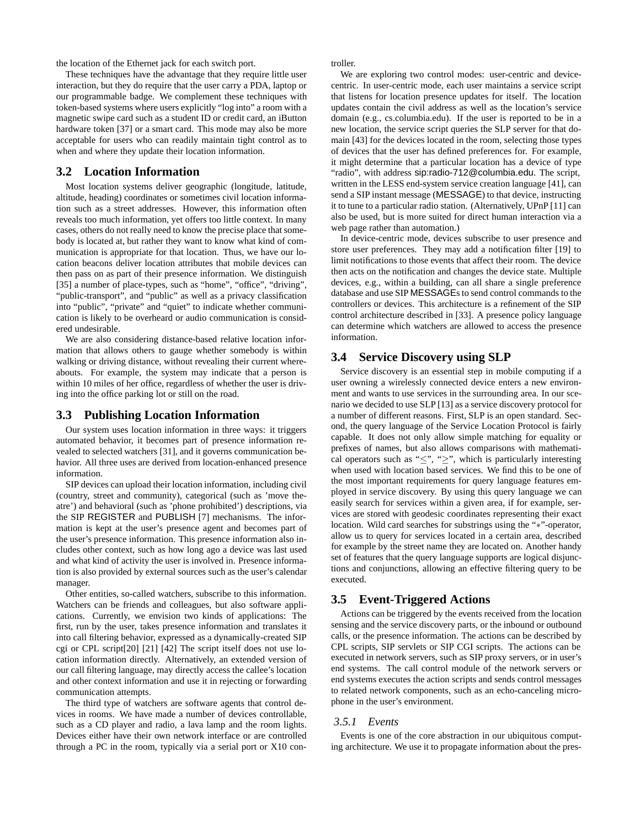the location of the Ethernet jack for each switch port.

These techniques have the advantage that they require little user interaction, but they do require that the user carry a PDA, laptop or our programmable badge. We complement these techniques with token-based systems where users explicitly "log into" a room with a magnetic swipe card such as a student ID or credit card, an iButton hardware token [37] or a smart card. This mode may also be more acceptable for users who can readily maintain tight control as to when and where they update their location information.

## **3.2 Location Information**

Most location systems deliver geographic (longitude, latitude, altitude, heading) coordinates or sometimes civil location information such as a street addresses. However, this information often reveals too much information, yet offers too little context. In many cases, others do not really need to know the precise place that somebody is located at, but rather they want to know what kind of communication is appropriate for that location. Thus, we have our location beacons deliver location attributes that mobile devices can then pass on as part of their presence information. We distinguish [35] a number of place-types, such as "home", "office", "driving", "public-transport", and "public" as well as a privacy classification into "public", "private" and "quiet" to indicate whether communication is likely to be overheard or audio communication is considered undesirable.

We are also considering distance-based relative location information that allows others to gauge whether somebody is within walking or driving distance, without revealing their current whereabouts. For example, the system may indicate that a person is within 10 miles of her office, regardless of whether the user is driving into the office parking lot or still on the road.

#### **3.3 Publishing Location Information**

Our system uses location information in three ways: it triggers automated behavior, it becomes part of presence information revealed to selected watchers [31], and it governs communication behavior. All three uses are derived from location-enhanced presence information.

SIP devices can upload their location information, including civil (country, street and community), categorical (such as 'move theatre') and behavioral (such as 'phone prohibited') descriptions, via the SIP REGISTER and PUBLISH [7] mechanisms. The information is kept at the user's presence agent and becomes part of the user's presence information. This presence information also includes other context, such as how long ago a device was last used and what kind of activity the user is involved in. Presence information is also provided by external sources such as the user's calendar manager.

Other entities, so-called watchers, subscribe to this information. Watchers can be friends and colleagues, but also software applications. Currently, we envision two kinds of applications: The first, run by the user, takes presence information and translates it into call filtering behavior, expressed as a dynamically-created SIP cgi or CPL script[20] [21] [42] The script itself does not use location information directly. Alternatively, an extended version of our call filtering language, may directly access the callee's location and other context information and use it in rejecting or forwarding communication attempts.

The third type of watchers are software agents that control devices in rooms. We have made a number of devices controllable, such as a CD player and radio, a lava lamp and the room lights. Devices either have their own network interface or are controlled through a PC in the room, typically via a serial port or X10 controller.

We are exploring two control modes: user-centric and devicecentric. In user-centric mode, each user maintains a service script that listens for location presence updates for itself. The location updates contain the civil address as well as the location's service domain (e.g., cs.columbia.edu). If the user is reported to be in a new location, the service script queries the SLP server for that domain [43] for the devices located in the room, selecting those types of devices that the user has defined preferences for. For example, it might determine that a particular location has a device of type "radio", with address sip:radio-712@columbia.edu. The script, written in the LESS end-system service creation language [41], can send a SIP instant message (MESSAGE) to that device, instructing it to tune to a particular radio station. (Alternatively, UPnP [11] can also be used, but is more suited for direct human interaction via a web page rather than automation.)

In device-centric mode, devices subscribe to user presence and store user preferences. They may add a notification filter [19] to limit notifications to those events that affect their room. The device then acts on the notification and changes the device state. Multiple devices, e.g., within a building, can all share a single preference database and use SIP MESSAGEs to send control commands to the controllers or devices. This architecture is a refinement of the SIP control architecture described in [33]. A presence policy language can determine which watchers are allowed to access the presence information.

### **3.4 Service Discovery using SLP**

Service discovery is an essential step in mobile computing if a user owning a wirelessly connected device enters a new environment and wants to use services in the surrounding area. In our scenario we decided to use SLP [13] as a service discovery protocol for a number of different reasons. First, SLP is an open standard. Second, the query language of the Service Location Protocol is fairly capable. It does not only allow simple matching for equality or prefixes of names, but also allows comparisons with mathematical operators such as " $\leq$ ", " $\geq$ ", which is particularly interesting when used with location based services. We find this to be one of the most important requirements for query language features employed in service discovery. By using this query language we can easily search for services within a given area, if for example, services are stored with geodesic coordinates representing their exact location. Wild card searches for substrings using the "∗"-operator, allow us to query for services located in a certain area, described for example by the street name they are located on. Another handy set of features that the query language supports are logical disjunctions and conjunctions, allowing an effective filtering query to be executed.

#### **3.5 Event-Triggered Actions**

Actions can be triggered by the events received from the location sensing and the service discovery parts, or the inbound or outbound calls, or the presence information. The actions can be described by CPL scripts, SIP servlets or SIP CGI scripts. The actions can be executed in network servers, such as SIP proxy servers, or in user's end systems. The call control module of the network servers or end systems executes the action scripts and sends control messages to related network components, such as an echo-canceling microphone in the user's environment.

#### *3.5.1 Events*

Events is one of the core abstraction in our ubiquitous computing architecture. We use it to propagate information about the pres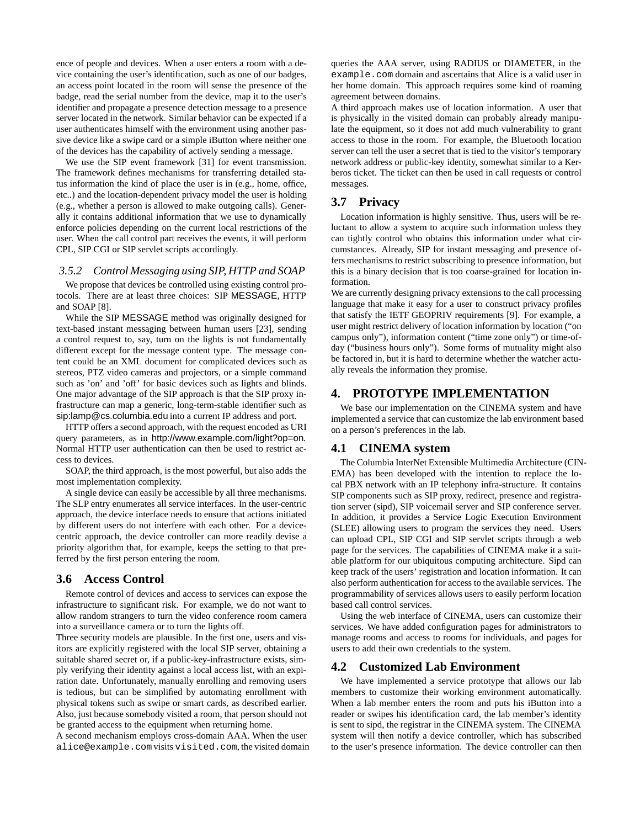ence of people and devices. When a user enters a room with a device containing the user's identification, such as one of our badges, an access point located in the room will sense the presence of the badge, read the serial number from the device, map it to the user's identifier and propagate a presence detection message to a presence server located in the network. Similar behavior can be expected if a user authenticates himself with the environment using another passive device like a swipe card or a simple iButton where neither one of the devices has the capability of actively sending a message.

We use the SIP event framework [31] for event transmission. The framework defines mechanisms for transferring detailed status information the kind of place the user is in (e.g., home, office, etc..) and the location-dependent privacy model the user is holding (e.g., whether a person is allowed to make outgoing calls). Generally it contains additional information that we use to dynamically enforce policies depending on the current local restrictions of the user. When the call control part receives the events, it will perform CPL, SIP CGI or SIP servlet scripts accordingly.

## *3.5.2 Control Messaging using SIP, HTTP and SOAP*

We propose that devices be controlled using existing control protocols. There are at least three choices: SIP MESSAGE, HTTP and SOAP [8].

While the SIP MESSAGE method was originally designed for text-based instant messaging between human users [23], sending a control request to, say, turn on the lights is not fundamentally different except for the message content type. The message content could be an XML document for complicated devices such as stereos, PTZ video cameras and projectors, or a simple command such as 'on' and 'off' for basic devices such as lights and blinds. One major advantage of the SIP approach is that the SIP proxy infrastructure can map a generic, long-term-stable identifier such as sip:lamp@cs.columbia.edu into a current IP address and port.

HTTP offers a second approach, with the request encoded as URI query parameters, as in http://www.example.com/light?op=on. Normal HTTP user authentication can then be used to restrict access to devices.

SOAP, the third approach, is the most powerful, but also adds the most implementation complexity.

A single device can easily be accessible by all three mechanisms. The SLP entry enumerates all service interfaces. In the user-centric approach, the device interface needs to ensure that actions initiated by different users do not interfere with each other. For a devicecentric approach, the device controller can more readily devise a priority algorithm that, for example, keeps the setting to that preferred by the first person entering the room.

# **3.6 Access Control**

Remote control of devices and access to services can expose the infrastructure to significant risk. For example, we do not want to allow random strangers to turn the video conference room camera into a surveillance camera or to turn the lights off.

Three security models are plausible. In the first one, users and visitors are explicitly registered with the local SIP server, obtaining a suitable shared secret or, if a public-key-infrastructure exists, simply verifying their identity against a local access list, with an expiration date. Unfortunately, manually enrolling and removing users is tedious, but can be simplified by automating enrollment with physical tokens such as swipe or smart cards, as described earlier. Also, just because somebody visited a room, that person should not be granted access to the equipment when returning home.

A second mechanism employs cross-domain AAA. When the user alice@example.com visits visited.com, the visited domain queries the AAA server, using RADIUS or DIAMETER, in the example.com domain and ascertains that Alice is a valid user in her home domain. This approach requires some kind of roaming agreement between domains.

A third approach makes use of location information. A user that is physically in the visited domain can probably already manipulate the equipment, so it does not add much vulnerability to grant access to those in the room. For example, the Bluetooth location server can tell the user a secret that is tied to the visitor's temporary network address or public-key identity, somewhat similar to a Kerberos ticket. The ticket can then be used in call requests or control messages.

## **3.7 Privacy**

Location information is highly sensitive. Thus, users will be reluctant to allow a system to acquire such information unless they can tightly control who obtains this information under what circumstances. Already, SIP for instant messaging and presence offers mechanisms to restrict subscribing to presence information, but this is a binary decision that is too coarse-grained for location information.

We are currently designing privacy extensions to the call processing language that make it easy for a user to construct privacy profiles that satisfy the IETF GEOPRIV requirements [9]. For example, a user might restrict delivery of location information by location ("on campus only"), information content ("time zone only") or time-ofday ("business hours only"). Some forms of mutuality might also be factored in, but it is hard to determine whether the watcher actually reveals the information they promise.

#### **4. PROTOTYPE IMPLEMENTATION**

We base our implementation on the CINEMA system and have implemented a service that can customize the lab environment based on a person's preferences in the lab.

# **4.1 CINEMA system**

The Columbia InterNet Extensible Multimedia Architecture (CIN-EMA) has been developed with the intention to replace the local PBX network with an IP telephony infra-structure. It contains SIP components such as SIP proxy, redirect, presence and registration server (sipd), SIP voicemail server and SIP conference server. In addition, it provides a Service Logic Execution Environment (SLEE) allowing users to program the services they need. Users can upload CPL, SIP CGI and SIP servlet scripts through a web page for the services. The capabilities of CINEMA make it a suitable platform for our ubiquitous computing architecture. Sipd can keep track of the users' registration and location information. It can also perform authentication for access to the available services. The programmability of services allows users to easily perform location based call control services.

Using the web interface of CINEMA, users can customize their services. We have added configuration pages for administrators to manage rooms and access to rooms for individuals, and pages for users to add their own credentials to the system.

#### **4.2 Customized Lab Environment**

We have implemented a service prototype that allows our lab members to customize their working environment automatically. When a lab member enters the room and puts his iButton into a reader or swipes his identification card, the lab member's identity is sent to sipd, the registrar in the CINEMA system. The CINEMA system will then notify a device controller, which has subscribed to the user's presence information. The device controller can then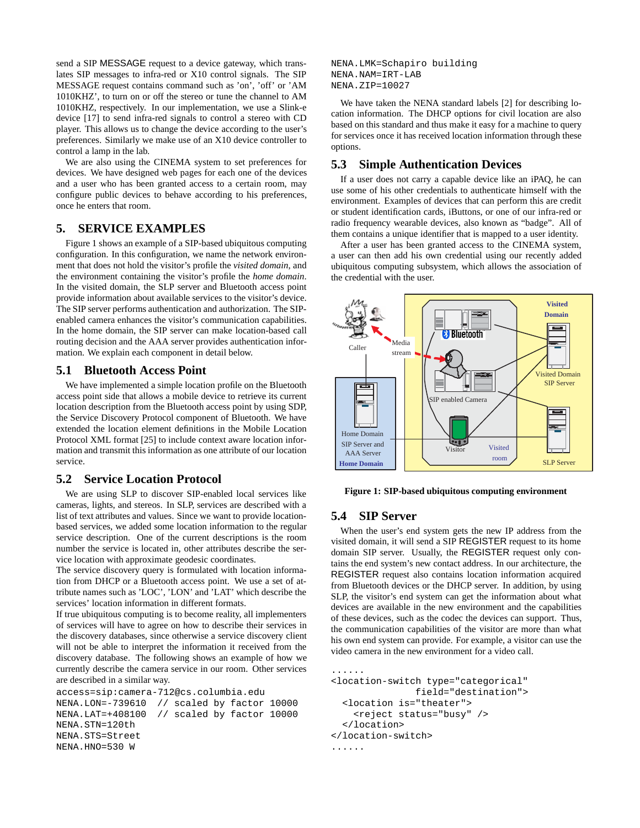send a SIP MESSAGE request to a device gateway, which translates SIP messages to infra-red or X10 control signals. The SIP MESSAGE request contains command such as 'on', 'off' or 'AM 1010KHZ', to turn on or off the stereo or tune the channel to AM 1010KHZ, respectively. In our implementation, we use a Slink-e device [17] to send infra-red signals to control a stereo with CD player. This allows us to change the device according to the user's preferences. Similarly we make use of an X10 device controller to control a lamp in the lab.

We are also using the CINEMA system to set preferences for devices. We have designed web pages for each one of the devices and a user who has been granted access to a certain room, may configure public devices to behave according to his preferences, once he enters that room.

## **5. SERVICE EXAMPLES**

Figure 1 shows an example of a SIP-based ubiquitous computing configuration. In this configuration, we name the network environment that does not hold the visitor's profile the *visited domain*, and the environment containing the visitor's profile the *home domain*. In the visited domain, the SLP server and Bluetooth access point provide information about available services to the visitor's device. The SIP server performs authentication and authorization. The SIPenabled camera enhances the visitor's communication capabilities. In the home domain, the SIP server can make location-based call routing decision and the AAA server provides authentication information. We explain each component in detail below.

# **5.1 Bluetooth Access Point**

We have implemented a simple location profile on the Bluetooth access point side that allows a mobile device to retrieve its current location description from the Bluetooth access point by using SDP, the Service Discovery Protocol component of Bluetooth. We have extended the location element definitions in the Mobile Location Protocol XML format [25] to include context aware location information and transmit this information as one attribute of our location service.

# **5.2 Service Location Protocol**

We are using SLP to discover SIP-enabled local services like cameras, lights, and stereos. In SLP, services are described with a list of text attributes and values. Since we want to provide locationbased services, we added some location information to the regular service description. One of the current descriptions is the room number the service is located in, other attributes describe the service location with approximate geodesic coordinates.

The service discovery query is formulated with location information from DHCP or a Bluetooth access point. We use a set of attribute names such as 'LOC', 'LON' and 'LAT' which describe the services' location information in different formats.

If true ubiquitous computing is to become reality, all implementers of services will have to agree on how to describe their services in the discovery databases, since otherwise a service discovery client will not be able to interpret the information it received from the discovery database. The following shows an example of how we currently describe the camera service in our room. Other services are described in a similar way.

```
access=sip:camera-712@cs.columbia.edu
```

```
NENA.LON=-739610 // scaled by factor 10000
NENA.LAT=+408100 // scaled by factor 10000
NENA.STN=120th
NENA.STS=Street
NENA.HNO=530 W
```
NENA.LMK=Schapiro building NENA.NAM=IRT-LAB NENA.ZIP=10027

We have taken the NENA standard labels [2] for describing location information. The DHCP options for civil location are also based on this standard and thus make it easy for a machine to query for services once it has received location information through these options.

# **5.3 Simple Authentication Devices**

If a user does not carry a capable device like an iPAQ, he can use some of his other credentials to authenticate himself with the environment. Examples of devices that can perform this are credit or student identification cards, iButtons, or one of our infra-red or radio frequency wearable devices, also known as "badge". All of them contains a unique identifier that is mapped to a user identity.

After a user has been granted access to the CINEMA system, a user can then add his own credential using our recently added ubiquitous computing subsystem, which allows the association of the credential with the user.



**Figure 1: SIP-based ubiquitous computing environment**

# **5.4 SIP Server**

When the user's end system gets the new IP address from the visited domain, it will send a SIP REGISTER request to its home domain SIP server. Usually, the REGISTER request only contains the end system's new contact address. In our architecture, the REGISTER request also contains location information acquired from Bluetooth devices or the DHCP server. In addition, by using SLP, the visitor's end system can get the information about what devices are available in the new environment and the capabilities of these devices, such as the codec the devices can support. Thus, the communication capabilities of the visitor are more than what his own end system can provide. For example, a visitor can use the video camera in the new environment for a video call.

```
<location-switch type="categorical"
               field="destination">
  <location is="theater">
    <reject status="busy" />
  </location>
</location-switch>
......
```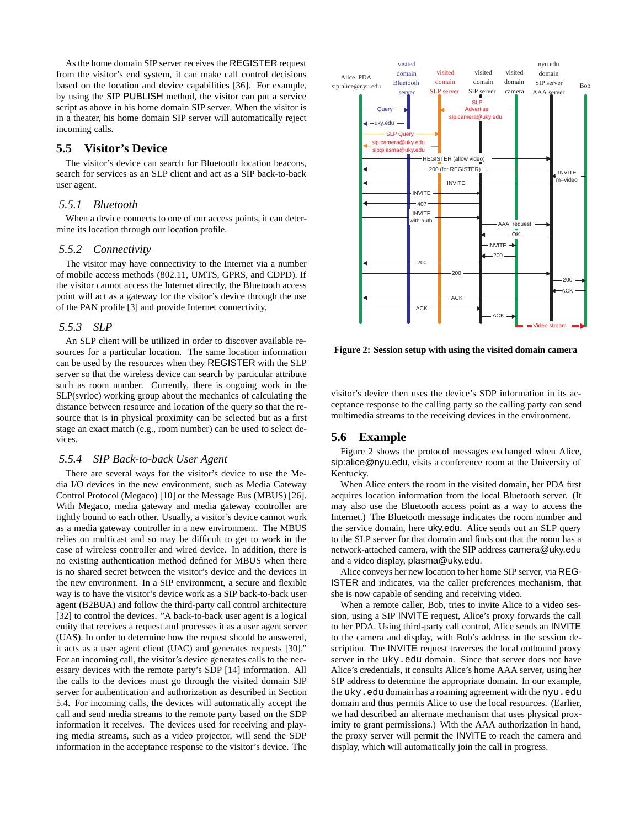As the home domain SIP server receives the REGISTER request from the visitor's end system, it can make call control decisions based on the location and device capabilities [36]. For example, by using the SIP PUBLISH method, the visitor can put a service script as above in his home domain SIP server. When the visitor is in a theater, his home domain SIP server will automatically reject incoming calls.

# **5.5 Visitor's Device**

The visitor's device can search for Bluetooth location beacons, search for services as an SLP client and act as a SIP back-to-back user agent.

#### *5.5.1 Bluetooth*

When a device connects to one of our access points, it can determine its location through our location profile.

#### *5.5.2 Connectivity*

The visitor may have connectivity to the Internet via a number of mobile access methods (802.11, UMTS, GPRS, and CDPD). If the visitor cannot access the Internet directly, the Bluetooth access point will act as a gateway for the visitor's device through the use of the PAN profile [3] and provide Internet connectivity.

## *5.5.3 SLP*

An SLP client will be utilized in order to discover available resources for a particular location. The same location information can be used by the resources when they REGISTER with the SLP server so that the wireless device can search by particular attribute such as room number. Currently, there is ongoing work in the SLP(svrloc) working group about the mechanics of calculating the distance between resource and location of the query so that the resource that is in physical proximity can be selected but as a first stage an exact match (e.g., room number) can be used to select devices.

#### *5.5.4 SIP Back-to-back User Agent*

There are several ways for the visitor's device to use the Media I/O devices in the new environment, such as Media Gateway Control Protocol (Megaco) [10] or the Message Bus (MBUS) [26]. With Megaco, media gateway and media gateway controller are tightly bound to each other. Usually, a visitor's device cannot work as a media gateway controller in a new environment. The MBUS relies on multicast and so may be difficult to get to work in the case of wireless controller and wired device. In addition, there is no existing authentication method defined for MBUS when there is no shared secret between the visitor's device and the devices in the new environment. In a SIP environment, a secure and flexible way is to have the visitor's device work as a SIP back-to-back user agent (B2BUA) and follow the third-party call control architecture [32] to control the devices. "A back-to-back user agent is a logical entity that receives a request and processes it as a user agent server (UAS). In order to determine how the request should be answered, it acts as a user agent client (UAC) and generates requests [30]." For an incoming call, the visitor's device generates calls to the necessary devices with the remote party's SDP [14] information. All the calls to the devices must go through the visited domain SIP server for authentication and authorization as described in Section 5.4. For incoming calls, the devices will automatically accept the call and send media streams to the remote party based on the SDP information it receives. The devices used for receiving and playing media streams, such as a video projector, will send the SDP information in the acceptance response to the visitor's device. The



**Figure 2: Session setup with using the visited domain camera**

visitor's device then uses the device's SDP information in its acceptance response to the calling party so the calling party can send multimedia streams to the receiving devices in the environment.

#### **5.6 Example**

Figure 2 shows the protocol messages exchanged when Alice, sip:alice@nyu.edu, visits a conference room at the University of Kentucky.

When Alice enters the room in the visited domain, her PDA first acquires location information from the local Bluetooth server. (It may also use the Bluetooth access point as a way to access the Internet.) The Bluetooth message indicates the room number and the service domain, here uky.edu. Alice sends out an SLP query to the SLP server for that domain and finds out that the room has a network-attached camera, with the SIP address camera@uky.edu and a video display, plasma@uky.edu.

Alice conveys her new location to her home SIP server, via REG-ISTER and indicates, via the caller preferences mechanism, that she is now capable of sending and receiving video.

When a remote caller, Bob, tries to invite Alice to a video session, using a SIP INVITE request, Alice's proxy forwards the call to her PDA. Using third-party call control, Alice sends an INVITE to the camera and display, with Bob's address in the session description. The INVITE request traverses the local outbound proxy server in the uky.edu domain. Since that server does not have Alice's credentials, it consults Alice's home AAA server, using her SIP address to determine the appropriate domain. In our example, the uky.edu domain has a roaming agreement with the nyu.edu domain and thus permits Alice to use the local resources. (Earlier, we had described an alternate mechanism that uses physical proximity to grant permissions.) With the AAA authorization in hand, the proxy server will permit the INVITE to reach the camera and display, which will automatically join the call in progress.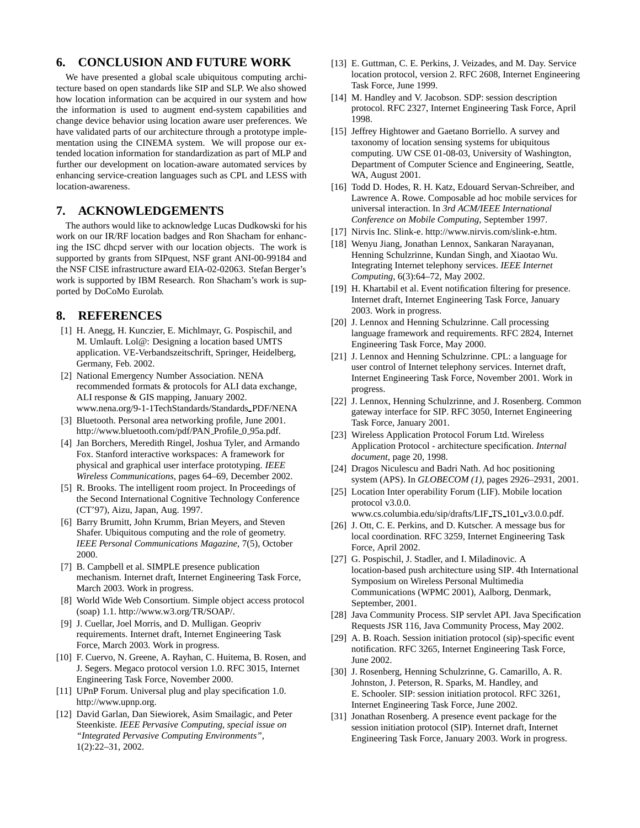# **6. CONCLUSION AND FUTURE WORK**

We have presented a global scale ubiquitous computing architecture based on open standards like SIP and SLP. We also showed how location information can be acquired in our system and how the information is used to augment end-system capabilities and change device behavior using location aware user preferences. We have validated parts of our architecture through a prototype implementation using the CINEMA system. We will propose our extended location information for standardization as part of MLP and further our development on location-aware automated services by enhancing service-creation languages such as CPL and LESS with location-awareness.

## **7. ACKNOWLEDGEMENTS**

The authors would like to acknowledge Lucas Dudkowski for his work on our IR/RF location badges and Ron Shacham for enhancing the ISC dhcpd server with our location objects. The work is supported by grants from SIPquest, NSF grant ANI-00-99184 and the NSF CISE infrastructure award EIA-02-02063. Stefan Berger's work is supported by IBM Research. Ron Shacham's work is supported by DoCoMo Eurolab.

# **8. REFERENCES**

- [1] H. Anegg, H. Kunczier, E. Michlmayr, G. Pospischil, and M. Umlauft. Lol@: Designing a location based UMTS application. VE-Verbandszeitschrift, Springer, Heidelberg, Germany, Feb. 2002.
- [2] National Emergency Number Association. NENA recommended formats & protocols for ALI data exchange, ALI response & GIS mapping, January 2002. www.nena.org/9-1-1TechStandards/Standards PDF/NENA
- [3] Bluetooth. Personal area networking profile, June 2001. http://www.bluetooth.com/pdf/PAN Profile 0 95a.pdf.
- [4] Jan Borchers, Meredith Ringel, Joshua Tyler, and Armando Fox. Stanford interactive workspaces: A framework for physical and graphical user interface prototyping. *IEEE Wireless Communications*, pages 64–69, December 2002.
- [5] R. Brooks. The intelligent room project. In Proceedings of the Second International Cognitive Technology Conference (CT'97), Aizu, Japan, Aug. 1997.
- [6] Barry Brumitt, John Krumm, Brian Meyers, and Steven Shafer. Ubiquitous computing and the role of geometry. *IEEE Personal Communications Magazine*, 7(5), October 2000.
- [7] B. Campbell et al. SIMPLE presence publication mechanism. Internet draft, Internet Engineering Task Force, March 2003. Work in progress.
- [8] World Wide Web Consortium. Simple object access protocol (soap) 1.1. http://www.w3.org/TR/SOAP/.
- [9] J. Cuellar, Joel Morris, and D. Mulligan. Geopriv requirements. Internet draft, Internet Engineering Task Force, March 2003. Work in progress.
- [10] F. Cuervo, N. Greene, A. Rayhan, C. Huitema, B. Rosen, and J. Segers. Megaco protocol version 1.0. RFC 3015, Internet Engineering Task Force, November 2000.
- [11] UPnP Forum. Universal plug and play specification 1.0. http://www.upnp.org.
- [12] David Garlan, Dan Siewiorek, Asim Smailagic, and Peter Steenkiste. *IEEE Pervasive Computing, special issue on "Integrated Pervasive Computing Environments"*, 1(2):22–31, 2002.
- [13] E. Guttman, C. E. Perkins, J. Veizades, and M. Day. Service location protocol, version 2. RFC 2608, Internet Engineering Task Force, June 1999.
- [14] M. Handley and V. Jacobson. SDP: session description protocol. RFC 2327, Internet Engineering Task Force, April 1998.
- [15] Jeffrey Hightower and Gaetano Borriello. A survey and taxonomy of location sensing systems for ubiquitous computing. UW CSE 01-08-03, University of Washington, Department of Computer Science and Engineering, Seattle, WA, August 2001.
- [16] Todd D. Hodes, R. H. Katz, Edouard Servan-Schreiber, and Lawrence A. Rowe. Composable ad hoc mobile services for universal interaction. In *3rd ACM/IEEE International Conference on Mobile Computing*, September 1997.
- [17] Nirvis Inc. Slink-e. http://www.nirvis.com/slink-e.htm.
- [18] Wenyu Jiang, Jonathan Lennox, Sankaran Narayanan, Henning Schulzrinne, Kundan Singh, and Xiaotao Wu. Integrating Internet telephony services. *IEEE Internet Computing*, 6(3):64–72, May 2002.
- [19] H. Khartabil et al. Event notification filtering for presence. Internet draft, Internet Engineering Task Force, January 2003. Work in progress.
- [20] J. Lennox and Henning Schulzrinne. Call processing language framework and requirements. RFC 2824, Internet Engineering Task Force, May 2000.
- [21] J. Lennox and Henning Schulzrinne. CPL: a language for user control of Internet telephony services. Internet draft, Internet Engineering Task Force, November 2001. Work in progress.
- [22] J. Lennox, Henning Schulzrinne, and J. Rosenberg. Common gateway interface for SIP. RFC 3050, Internet Engineering Task Force, January 2001.
- [23] Wireless Application Protocol Forum Ltd. Wireless Application Protocol - architecture specification. *Internal document*, page 20, 1998.
- [24] Dragos Niculescu and Badri Nath. Ad hoc positioning system (APS). In *GLOBECOM (1)*, pages 2926–2931, 2001.
- [25] Location Inter operability Forum (LIF). Mobile location protocol v3.0.0. www.cs.columbia.edu/sip/drafts/LIF TS 101 v3.0.0.pdf.
- [26] J. Ott, C. E. Perkins, and D. Kutscher. A message bus for local coordination. RFC 3259, Internet Engineering Task Force, April 2002.
- [27] G. Pospischil, J. Stadler, and I. Miladinovic. A location-based push architecture using SIP. 4th International Symposium on Wireless Personal Multimedia Communications (WPMC 2001), Aalborg, Denmark, September, 2001.
- [28] Java Community Process. SIP servlet API. Java Specification Requests JSR 116, Java Community Process, May 2002.
- [29] A. B. Roach. Session initiation protocol (sip)-specific event notification. RFC 3265, Internet Engineering Task Force, June 2002.
- [30] J. Rosenberg, Henning Schulzrinne, G. Camarillo, A. R. Johnston, J. Peterson, R. Sparks, M. Handley, and E. Schooler. SIP: session initiation protocol. RFC 3261, Internet Engineering Task Force, June 2002.
- [31] Jonathan Rosenberg. A presence event package for the session initiation protocol (SIP). Internet draft, Internet Engineering Task Force, January 2003. Work in progress.